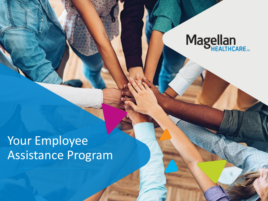

# Your Employee Assistance Program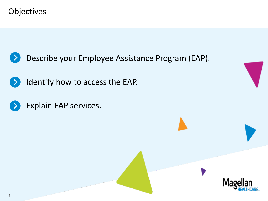Objectives



Identify how to access the EAP.  $\rightarrow$ 

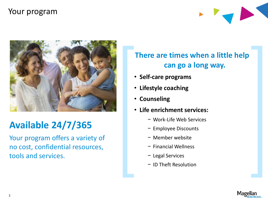#### Your program





# **Available 24/7/365**

Your program offers a variety of no cost, confidential resources, tools and services.

### **There are times when a little help can go a long way.**

- **Self-care programs**
- **Lifestyle coaching**
- **Counseling**
- **Life enrichment services:**
	- − Work-Life Web Services
	- − Employee Discounts
	- − Member website
	- − Financial Wellness
	- − Legal Services
	- − ID Theft Resolution

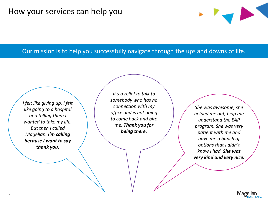#### Our mission is to help you successfully navigate through the ups and downs of life.

*I felt like giving up. I felt like going to a hospital and telling them I wanted to take my life. But then I called Magellan. I'm calling because I want to say thank you.*

*It's a relief to talk to somebody who has no connection with my office and is not going to come back and bite me. Thank you for being there.*

*She was awesome, she helped me out, help me understand the EAP program. She was very patient with me and gave me a bunch of options that I didn't know I had. She was very kind and very nice.*

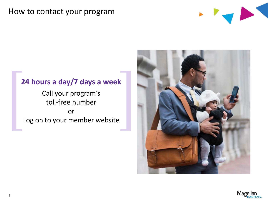#### How to contact your program



#### **24 hours a day/7 days a week**

Call your program's toll-free number or Log on to your member website



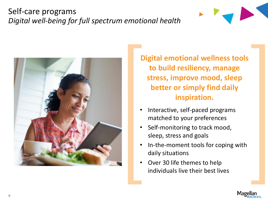## Self-care programs *Digital well-being for full spectrum emotional health*





**Digital emotional wellness tools to build resiliency, manage stress, improve mood, sleep better or simply find daily inspiration.** 

- Interactive, self-paced programs matched to your preferences
- Self-monitoring to track mood, sleep, stress and goals
- In-the-moment tools for coping with daily situations
- Over 30 life themes to help individuals live their best lives

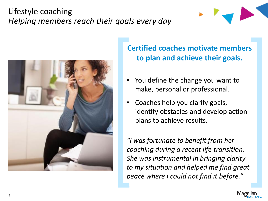## Lifestyle coaching *Helping members reach their goals every day*





### **Certified coaches motivate members to plan and achieve their goals.**

- You define the change you want to make, personal or professional.
- Coaches help you clarify goals, identify obstacles and develop action plans to achieve results.

*"I was fortunate to benefit from her coaching during a recent life transition. She was instrumental in bringing clarity to my situation and helped me find great peace where I could not find it before."*

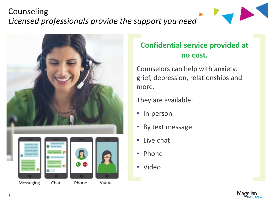# Counseling *Licensed professionals provide the support you need*



## **Confidential service provided at no cost.**

Counselors can help with anxiety, grief, depression, relationships and more.

They are available:

- In-person
- By text message
- Live chat
- Phone
- Video

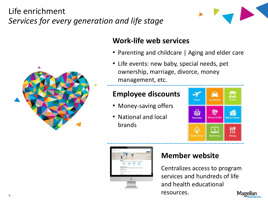# Life enrichment *Services for every generation and life stage*



#### **Work-life web services**

- Parenting and childcare | Aging and elder care
- Life events: new baby, special needs, pet ownership, marriage, divorce, money management, etc.

#### **Employee discounts**

- Money-saving offers
- National and local brands





#### **Member website**

Centralizes access to program services and hundreds of life and health educational resources.

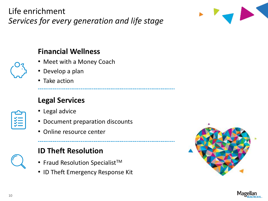Life enrichment *Services for every generation and life stage*



#### **Financial Wellness**

- Meet with a Money Coach
- Develop a plan
- Take action

## **Legal Services**

- 
- Legal advice
- Document preparation discounts
- Online resource center



## **ID Theft Resolution**

- Fraud Resolution Specialist<sup>TM</sup>
- ID Theft Emergency Response Kit



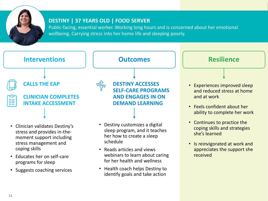

#### **DESTINY | 37 YEARS OLD | FOOD SERVER**

Public-facing, essential worker. Working long hours and is concerned about her emotional wellbeing. Carrying stress into her home life and sleeping poorly.

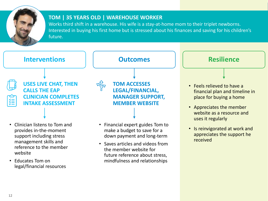

#### **TOM | 35 YEARS OLD | WAREHOUSE WORKER**

Works third shift in a warehouse. His wife is a stay-at-home mom to their triplet newborns. Interested in buying his first home but is stressed about his finances and saving for his children's future.



• Educates Tom on legal/financial resources future reference about stress, mindfulness and relationships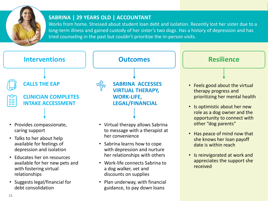

#### **SABRINA | 29 YEARS OLD | ACCOUNTANT**

Works from home. Stressed about student loan debt and isolation. Recently lost her sister due to a long-term illness and gained custody of her sister's two dogs. Has a history of depression and has tried counseling in the past but couldn't prioritize the in-person visits.



discounts on supplies

• Plan underway, with financial guidance, to pay down loans

• Suggests legal/financial for debt consolidation

relationships